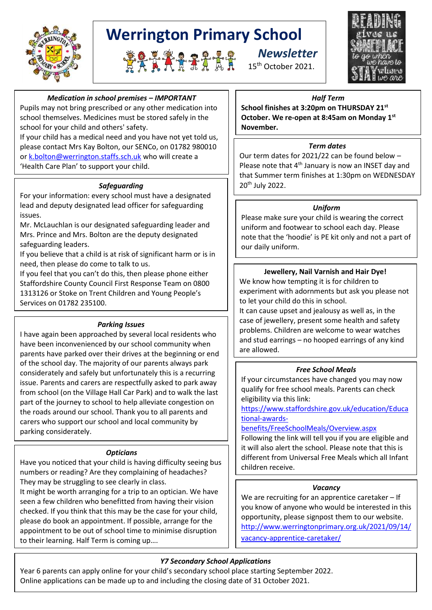

# **Werrington Primary School**





# *Medication in school premises – IMPORTANT*

Pupils may not bring prescribed or any other medication into school themselves. Medicines must be stored safely in the school for your child and others' safety.

If your child has a medical need and you have not yet told us, please contact Mrs Kay Bolton, our SENCo, on 01782 980010 o[r k.bolton@werrington.staffs.sch.uk](mailto:k.bolton@werrington.staffs.sch.uk) who will create a 'Health Care Plan' to support your child.

### *Safeguarding*

For your information: every school must have a designated lead and deputy designated lead officer for safeguarding issues.

Mr. McLauchlan is our designated safeguarding leader and Mrs. Prince and Mrs. Bolton are the deputy designated safeguarding leaders.

If you believe that a child is at risk of significant harm or is in need, then please do come to talk to us.

If you feel that you can't do this, then please phone either Staffordshire County Council First Response Team on 0800 1313126 or Stoke on Trent Children and Young People's Services on 01782 235100.

### *Parking Issues*

I have again been approached by several local residents who have been inconvenienced by our school community when parents have parked over their drives at the beginning or end of the school day. The majority of our parents always park considerately and safely but unfortunately this is a recurring issue. Parents and carers are respectfully asked to park away from school (on the Village Hall Car Park) and to walk the last part of the journey to school to help alleviate congestion on the roads around our school. Thank you to all parents and carers who support our school and local community by parking considerately.

#### *Opticians*

Have you noticed that your child is having difficulty seeing bus numbers or reading? Are they complaining of headaches? They may be struggling to see clearly in class.

It might be worth arranging for a trip to an optician. We have seen a few children who benefitted from having their vision checked. If you think that this may be the case for your child, please do book an appointment. If possible, arrange for the appointment to be out of school time to minimise disruption to their learning. Half Term is coming up….

#### *Half Term*

**School finishes at 3:20pm on THURSDAY 21st October. We re-open at 8:45am on Monday 1st November.**

#### *Term dates*

Our term dates for 2021/22 can be found below – Please note that 4<sup>th</sup> January is now an INSET day and that Summer term finishes at 1:30pm on WEDNESDAY 20th July 2022.

#### *Uniform*

Please make sure your child is wearing the correct uniform and footwear to school each day. Please note that the 'hoodie' is PE kit only and not a part of our daily uniform.

#### **Jewellery, Nail Varnish and Hair Dye!**

We know how tempting it is for children to experiment with adornments but ask you please not to let your child do this in school.

It can cause upset and jealousy as well as, in the case of jewellery, present some health and safety problems. Children are welcome to wear watches and stud earrings – no hooped earrings of any kind are allowed.

#### *Free School Meals*

If your circumstances have changed you may now qualify for free school meals. Parents can check eligibility via this link:

[https://www.staffordshire.gov.uk/education/Educa](https://www.staffordshire.gov.uk/education/Educational-awards-benefits/FreeSchoolMeals/Overview.aspx) [tional-awards-](https://www.staffordshire.gov.uk/education/Educational-awards-benefits/FreeSchoolMeals/Overview.aspx)

#### [benefits/FreeSchoolMeals/Overview.aspx](https://www.staffordshire.gov.uk/education/Educational-awards-benefits/FreeSchoolMeals/Overview.aspx)

Following the link will tell you if you are eligible and it will also alert the school. Please note that this is different from Universal Free Meals which all Infant children receive.

#### *Vacancy*

We are recruiting for an apprentice caretaker – If you know of anyone who would be interested in this opportunity, please signpost them to our website. [http://www.werringtonprimary.org.uk/2021/09/14/](http://www.werringtonprimary.org.uk/2021/09/14/vacancy-apprentice-caretaker/) [vacancy-apprentice-caretaker/](http://www.werringtonprimary.org.uk/2021/09/14/vacancy-apprentice-caretaker/)

# *Y7 Secondary School Applications*

Year 6 parents can apply online for your child's secondary school place starting September 2022. Online applications can be made up to and including the closing date of 31 October 2021.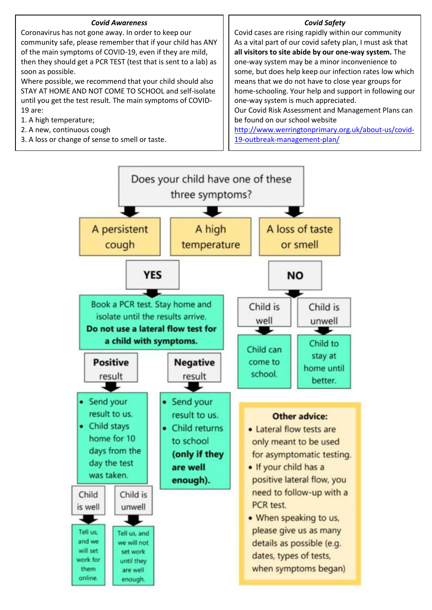#### *Covid Awareness*

Coronavirus has not gone away. In order to keep our community safe, please remember that if your child has ANY of the main symptoms of COVID-19, even if they are mild, then they should get a PCR TEST (test that is sent to a lab) as soon as possible.

Where possible, we recommend that your child should also STAY AT HOME AND NOT COME TO SCHOOL and self-isolate until you get the test result. The main symptoms of COVID-19 are:

- 1. A high temperature;
- 2. A new, continuous cough
- 3. A loss or change of sense to smell or taste.

#### *Covid Safety*

Covid cases are rising rapidly within our community As a vital part of our covid safety plan, I must ask that **all visitors to site abide by our one-way system.** The one-way system may be a minor inconvenience to some, but does help keep our infection rates low which means that we do not have to close year groups for home-schooling. Your help and support in following our one-way system is much appreciated. Our Covid Risk Assessment and Management Plans can be found on our school website [http://www.werringtonprimary.org.uk/about-us/covid-](http://www.werringtonprimary.org.uk/about-us/covid-19-outbreak-management-plan/)

[19-outbreak-management-plan/](http://www.werringtonprimary.org.uk/about-us/covid-19-outbreak-management-plan/)

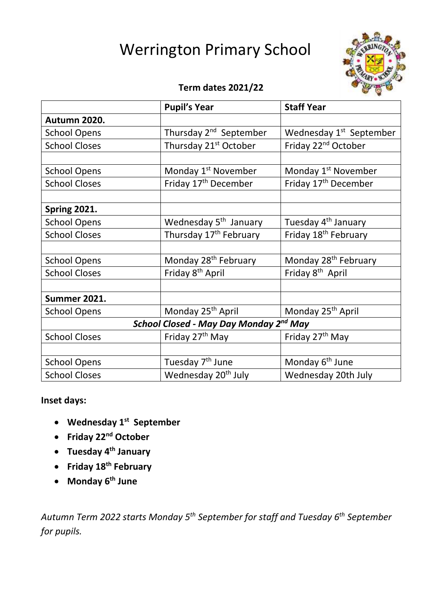# Werrington Primary School



# **Term dates 2021/22**

|                                                    | <b>Pupil's Year</b>                | <b>Staff Year</b>                   |
|----------------------------------------------------|------------------------------------|-------------------------------------|
| Autumn 2020.                                       |                                    |                                     |
| <b>School Opens</b>                                | Thursday 2 <sup>nd</sup> September | Wednesday 1 <sup>st</sup> September |
| <b>School Closes</b>                               | Thursday 21 <sup>st</sup> October  | Friday 22 <sup>nd</sup> October     |
|                                                    |                                    |                                     |
| <b>School Opens</b>                                | Monday 1 <sup>st</sup> November    | Monday 1 <sup>st</sup> November     |
| <b>School Closes</b>                               | Friday 17 <sup>th</sup> December   | Friday 17 <sup>th</sup> December    |
|                                                    |                                    |                                     |
| <b>Spring 2021.</b>                                |                                    |                                     |
| <b>School Opens</b>                                | Wednesday 5 <sup>th</sup> January  | Tuesday 4 <sup>th</sup> January     |
| <b>School Closes</b>                               | Thursday 17 <sup>th</sup> February | Friday 18 <sup>th</sup> February    |
|                                                    |                                    |                                     |
| <b>School Opens</b>                                | Monday 28 <sup>th</sup> February   | Monday 28 <sup>th</sup> February    |
| <b>School Closes</b>                               | Friday 8 <sup>th</sup> April       | Friday 8 <sup>th</sup> April        |
|                                                    |                                    |                                     |
| <b>Summer 2021.</b>                                |                                    |                                     |
| <b>School Opens</b>                                | Monday 25 <sup>th</sup> April      | Monday 25 <sup>th</sup> April       |
| School Closed - May Day Monday 2 <sup>nd</sup> May |                                    |                                     |
| <b>School Closes</b>                               | Friday 27 <sup>th</sup> May        | Friday 27 <sup>th</sup> May         |
|                                                    |                                    |                                     |
| <b>School Opens</b>                                | Tuesday 7 <sup>th</sup> June       | Monday 6 <sup>th</sup> June         |
| <b>School Closes</b>                               | Wednesday 20 <sup>th</sup> July    | Wednesday 20th July                 |

# **Inset days:**

- **Wednesday 1st September**
- **Friday 22nd October**
- **Tuesday 4th January**
- **Friday 18th February**
- **Monday 6th June**

*Autumn Term 2022 starts Monday 5th September for staff and Tuesday 6th September for pupils.*